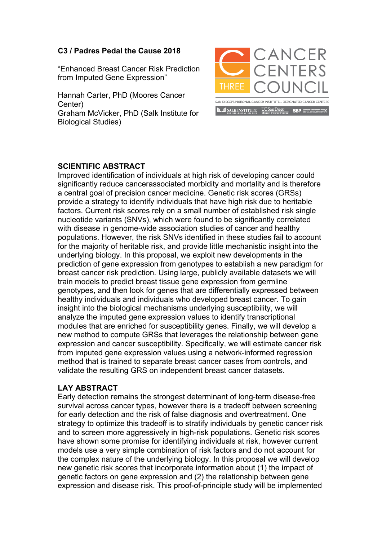## **C3 / Padres Pedal the Cause 2018**

"Enhanced Breast Cancer Risk Prediction from Imputed Gene Expression"

Hannah Carter, PhD (Moores Cancer Center) Graham McVicker, PhD (Salk Institute for Biological Studies)



## **SCIENTIFIC ABSTRACT**

Improved identification of individuals at high risk of developing cancer could significantly reduce cancerassociated morbidity and mortality and is therefore a central goal of precision cancer medicine. Genetic risk scores (GRSs) provide a strategy to identify individuals that have high risk due to heritable factors. Current risk scores rely on a small number of established risk single nucleotide variants (SNVs), which were found to be significantly correlated with disease in genome-wide association studies of cancer and healthy populations. However, the risk SNVs identified in these studies fail to account for the majority of heritable risk, and provide little mechanistic insight into the underlying biology. In this proposal, we exploit new developments in the prediction of gene expression from genotypes to establish a new paradigm for breast cancer risk prediction. Using large, publicly available datasets we will train models to predict breast tissue gene expression from germline genotypes, and then look for genes that are differentially expressed between healthy individuals and individuals who developed breast cancer. To gain insight into the biological mechanisms underlying susceptibility, we will analyze the imputed gene expression values to identify transcriptional modules that are enriched for susceptibility genes. Finally, we will develop a new method to compute GRSs that leverages the relationship between gene expression and cancer susceptibility. Specifically, we will estimate cancer risk from imputed gene expression values using a network-informed regression method that is trained to separate breast cancer cases from controls, and validate the resulting GRS on independent breast cancer datasets.

## **LAY ABSTRACT**

Early detection remains the strongest determinant of long-term disease-free survival across cancer types, however there is a tradeoff between screening for early detection and the risk of false diagnosis and overtreatment. One strategy to optimize this tradeoff is to stratify individuals by genetic cancer risk and to screen more aggressively in high-risk populations. Genetic risk scores have shown some promise for identifying individuals at risk, however current models use a very simple combination of risk factors and do not account for the complex nature of the underlying biology. In this proposal we will develop new genetic risk scores that incorporate information about (1) the impact of genetic factors on gene expression and (2) the relationship between gene expression and disease risk. This proof-of-principle study will be implemented